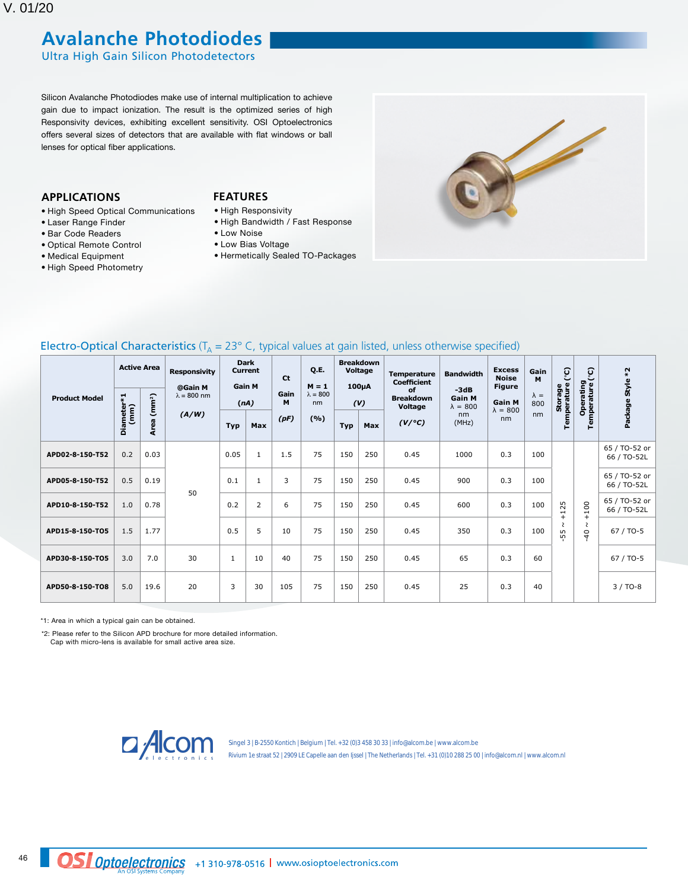## **Avalanche Photodiodes**

Ultra High Gain Silicon Photodetectors

Silicon Avalanche Photodiodes make use of internal multiplication to achieve gain due to impact ionization. The result is the optimized series of high Responsivity devices, exhibiting excellent sensitivity. OSI Optoelectronics offers several sizes of detectors that are available with flat windows or ball lenses for optical fiber applications.

### **APPLICATIONS**

- • High Speed Optical Communications
- • Laser Range Finder
- • Bar Code Readers
- • Optical Remote Control
- • Medical Equipment
- • High Speed Photometry

### **FEATURES**

- • High Responsivity
- • High Bandwidth / Fast Response
- • Low Noise
- • Low Bias Voltage
- • Hermetically Sealed TO-Packages



| Electro-Optical Characteristics ( $T_A$ = 23° C, typical values at gain listed, unless otherwise specified) |  |  |  |  |  |  |
|-------------------------------------------------------------------------------------------------------------|--|--|--|--|--|--|
|-------------------------------------------------------------------------------------------------------------|--|--|--|--|--|--|

| Diameter*1<br><b>Product Model</b><br>(mm) | <b>Active Area</b> |      | <b>Responsivity</b><br>@Gain M<br>$\lambda = 800$ nm |              | <b>Dark</b><br><b>Current</b><br><b>Ct</b><br><b>Gain M</b> |      | Q.E.<br>$M = 1$<br>Gain<br>$\lambda = 800$<br>M<br>nm | <b>Breakdown</b><br>Voltage<br>100 <sub>µ</sub> A<br>(V) |     | <b>Temperature</b><br><b>Coefficient</b><br>of<br><b>Breakdown</b><br>Voltage | <b>Bandwidth</b><br>$-3dB$<br><b>Gain M</b><br>$\lambda = 800$ | <b>Excess</b><br><b>Noise</b><br><b>Figure</b><br><b>Gain M</b><br>$\lambda = 800$ | Gain<br>M<br>$\lambda =$<br>800 | ូ<br>◡<br>Temperature<br><b>Storage</b>             | င္<br>Operating<br>Temperature ( | $*2$<br>Package Style        |
|--------------------------------------------|--------------------|------|------------------------------------------------------|--------------|-------------------------------------------------------------|------|-------------------------------------------------------|----------------------------------------------------------|-----|-------------------------------------------------------------------------------|----------------------------------------------------------------|------------------------------------------------------------------------------------|---------------------------------|-----------------------------------------------------|----------------------------------|------------------------------|
|                                            | (mm <sup>2</sup> ) | (nA) |                                                      |              |                                                             |      |                                                       |                                                          |     |                                                                               |                                                                |                                                                                    |                                 |                                                     |                                  |                              |
|                                            |                    | Area | (A/W)                                                | <b>Typ</b>   | <b>Max</b>                                                  | (pF) | (%)                                                   | <b>Typ</b>                                               | Max | (V/°C)                                                                        | nm<br>(MHz)                                                    | nm                                                                                 | nm                              |                                                     |                                  |                              |
| APD02-8-150-T52                            | 0.2                | 0.03 | 50                                                   | 0.05         | 1                                                           | 1.5  | 75                                                    | 150                                                      | 250 | 0.45                                                                          | 1000                                                           | 0.3                                                                                | 100                             | 25<br>$\overline{\phantom{0}}$<br>$^{+}$<br>2<br>55 |                                  | 65 / TO-52 or<br>66 / TO-52L |
| APD05-8-150-T52                            | 0.5                | 0.19 |                                                      | 0.1          | $\mathbf{1}$                                                | 3    | 75                                                    | 150                                                      | 250 | 0.45                                                                          | 900                                                            | 0.3                                                                                | 100                             |                                                     |                                  | 65 / TO-52 or<br>66 / TO-52L |
| APD10-8-150-T52                            | 1.0                | 0.78 |                                                      | 0.2          | $\overline{2}$                                              | 6    | 75                                                    | 150                                                      | 250 | 0.45                                                                          | 600                                                            | 0.3                                                                                | 100                             |                                                     | 100<br>$+$                       | 65 / TO-52 or<br>66 / TO-52L |
| APD15-8-150-TO5                            | 1.5                | 1.77 |                                                      | 0.5          | 5                                                           | 10   | 75                                                    | 150                                                      | 250 | 0.45                                                                          | 350                                                            | 0.3                                                                                | 100                             |                                                     | ζ<br>$\overline{40}$             | 67 / TO-5                    |
| APD30-8-150-TO5                            | 3.0                | 7.0  | 30                                                   | $\mathbf{1}$ | 10                                                          | 40   | 75                                                    | 150                                                      | 250 | 0.45                                                                          | 65                                                             | 0.3                                                                                | 60                              |                                                     |                                  | 67 / TO-5                    |
| APD50-8-150-TO8                            | 5.0                | 19.6 | 20                                                   | 3            | 30                                                          | 105  | 75                                                    | 150                                                      | 250 | 0.45                                                                          | 25                                                             | 0.3                                                                                | 40                              |                                                     |                                  | $3/TO-8$                     |

\*1: Area in which a typical gain can be obtained.

\*2: Please refer to the Silicon APD brochure for more detailed information. Cap with micro-lens is available for small active area size.



Singel 3 | B-2550 Kontich | Belgium | Tel. +32 (0)3 458 30 33 | info@alcom.be | www.alcom.be Rivium 1e straat 52 | 2909 LE Capelle aan den Ijssel | The Netherlands | Tel. +31 (0)10 288 25 00 | info@alcom.nl | www.alcom.nl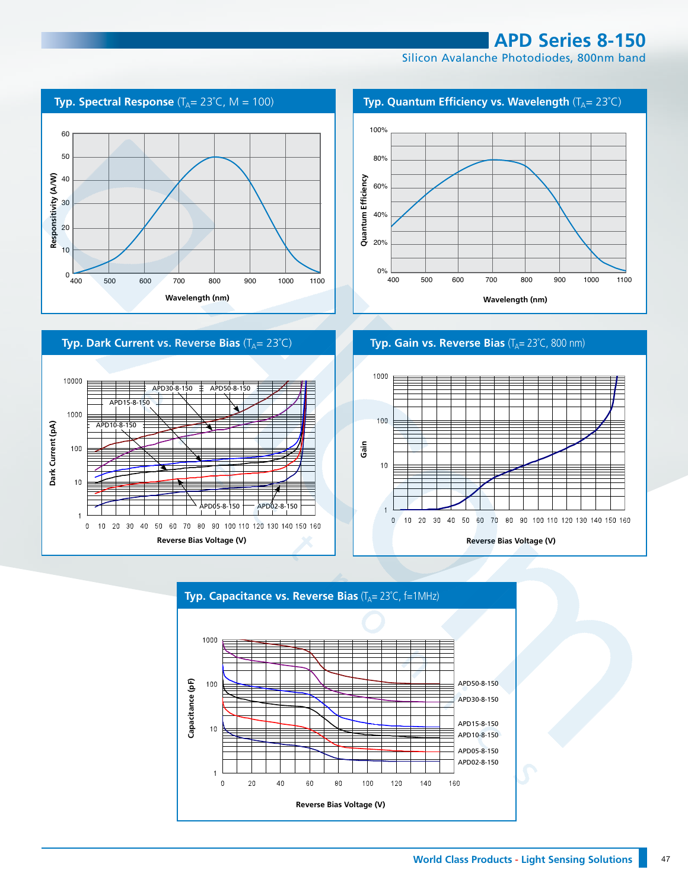**APD Series 8-150**

Silicon Avalanche Photodiodes, 800nm band





**Typ. Gain vs. Reverse Bias** (T<sub>A</sub>= 23°C, 800 nm)

**Wavelength (nm) Wavelength (nm)**400 500 600 700 800 900 1000 1100

40%

20%

0%





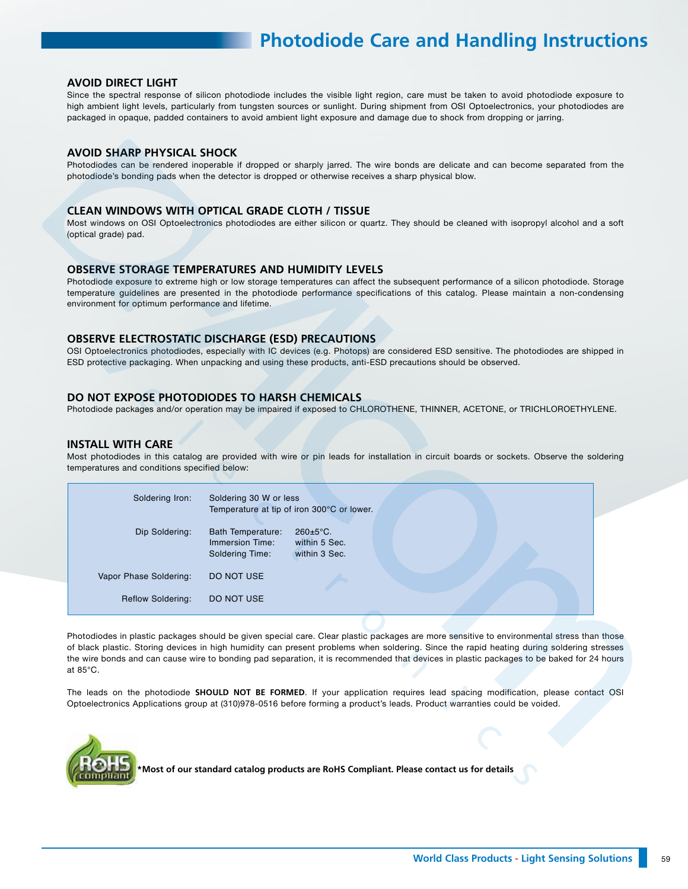# **Photodiode Care and Handling Instructions**

#### **AVOID DIRECT LIGHT**

Since the spectral response of silicon photodiode includes the visible light region, care must be taken to avoid photodiode exposure to high ambient light levels, particularly from tungsten sources or sunlight. During shipment from OSI Optoelectronics, your photodiodes are packaged in opaque, padded containers to avoid ambient light exposure and damage due to shock from dropping or jarring.

#### **AVOID SHARP PHYSICAL SHOCK**

Photodiodes can be rendered inoperable if dropped or sharply jarred. The wire bonds are delicate and can become separated from the photodiode's bonding pads when the detector is dropped or otherwise receives a sharp physical blow.

#### **CLEAN WINDOWS WITH OPTICAL GRADE CLOTH / TISSUE**

Most windows on OSI Optoelectronics photodiodes are either silicon or quartz. They should be cleaned with isopropyl alcohol and a soft (optical grade) pad.

#### **OBSERVE STORAGE TEMPERATURES AND HUMIDITY LEVELS**

Photodiode exposure to extreme high or low storage temperatures can affect the subsequent performance of a silicon photodiode. Storage temperature guidelines are presented in the photodiode performance specifications of this catalog. Please maintain a non-condensing environment for optimum performance and lifetime.

#### **OBSERVE ELECTROSTATIC DISCHARGE (ESD) PRECAUTIONS**

OSI Optoelectronics photodiodes, especially with IC devices (e.g. Photops) are considered ESD sensitive. The photodiodes are shipped in ESD protective packaging. When unpacking and using these products, anti-ESD precautions should be observed.

#### **DO NOT EXPOSE PHOTODIODES TO HARSH CHEMICALS**

Photodiode packages and/or operation may be impaired if exposed to CHLOROTHENE, THINNER, ACETONE, or TRICHLOROETHYLENE.

#### **INSTALL WITH CARE**

Most photodiodes in this catalog are provided with wire or pin leads for installation in circuit boards or sockets. Observe the soldering temperatures and conditions specified below:

| Soldering Iron:          | Soldering 30 W or less                                         | Temperature at tip of iron 300°C or lower.               |  |  |
|--------------------------|----------------------------------------------------------------|----------------------------------------------------------|--|--|
| Dip Soldering:           | <b>Bath Temperature:</b><br>Immersion Time:<br>Soldering Time: | $260 \pm 5^{\circ}$ C.<br>within 5 Sec.<br>within 3 Sec. |  |  |
| Vapor Phase Soldering:   | DO NOT USE                                                     |                                                          |  |  |
| <b>Reflow Soldering:</b> | DO NOT USE                                                     |                                                          |  |  |

Photodiodes in plastic packages should be given special care. Clear plastic packages are more sensitive to environmental stress than those of black plastic. Storing devices in high humidity can present problems when soldering. Since the rapid heating during soldering stresses the wire bonds and can cause wire to bonding pad separation, it is recommended that devices in plastic packages to be baked for 24 hours at 85°C.

The leads on the photodiode **SHOULD NOT BE FORMED**. If your application requires lead spacing modification, please contact OSI Optoelectronics Applications group at (310)978-0516 before forming a product's leads. Product warranties could be voided.



**\*Most of our standard catalog products are RoHS Compliant. Please contact us for details**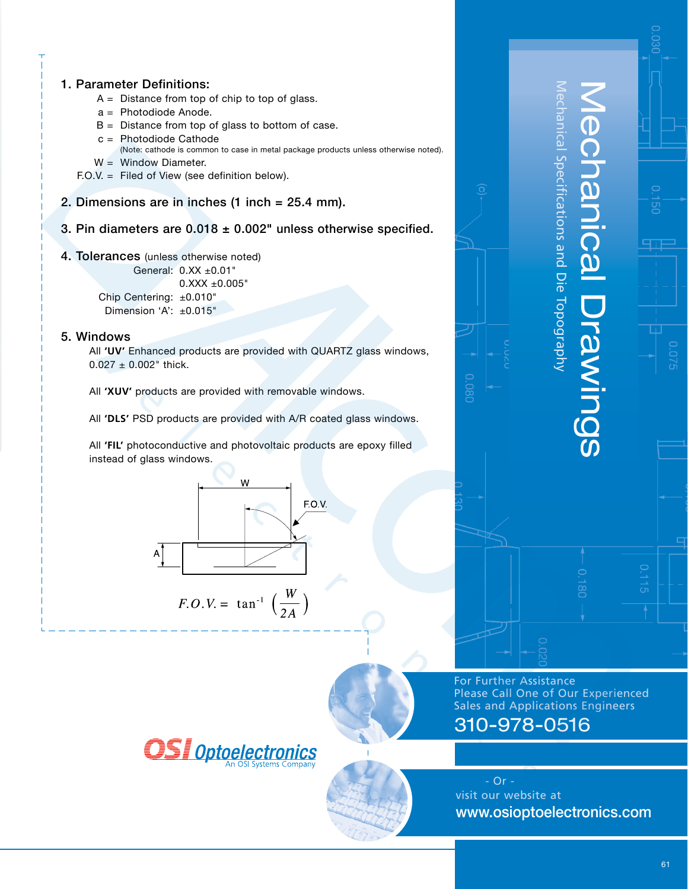

- $A =$  Distance from top of chip to top of glass.
- a = Photodiode Anode.
- $B =$  Distance from top of glass to bottom of case.
- c = Photodiode Cathode
	- (Note: cathode is common to case in metal package products unless otherwise noted).
- $W =$  Window Diameter.
- F.O.V. = Filed of View (see definition below).
- 2. Dimensions are in inches (1 inch = 25.4 mm).
- 3. Pin diameters are  $0.018 \pm 0.002$ " unless otherwise specified.
- 4. Tolerances (unless otherwise noted)

General: 0.XX ±0.01" 0.XXX ±0.005" Chip Centering: ±0.010"

Dimension 'A': ±0.015"

### 5. Windows

All **'UV'** Enhanced products are provided with QUARTZ glass windows,  $0.027 \pm 0.002$ " thick.

All **'XUV'** products are provided with removable windows.

All **'DLS'** PSD products are provided with A/R coated glass windows.

All **'FIL'** photoconductive and photovoltaic products are epoxy filled instead of glass windows.



$$
F.O.V. = \tan^{-1} \left( \frac{W}{2A} \right)
$$



For Further Assistance Please Call One of Our Experienced Sales and Applications Engineers

Mechanical Specifications and Die Topography

hanical Specifications and Die Topography

Mechanical Drawings

**Drawings** 

**BOINANICA** 

# 310-978-0516

0.080

 - Or visit our website at www.osioptoelectronics.com





ਨੌ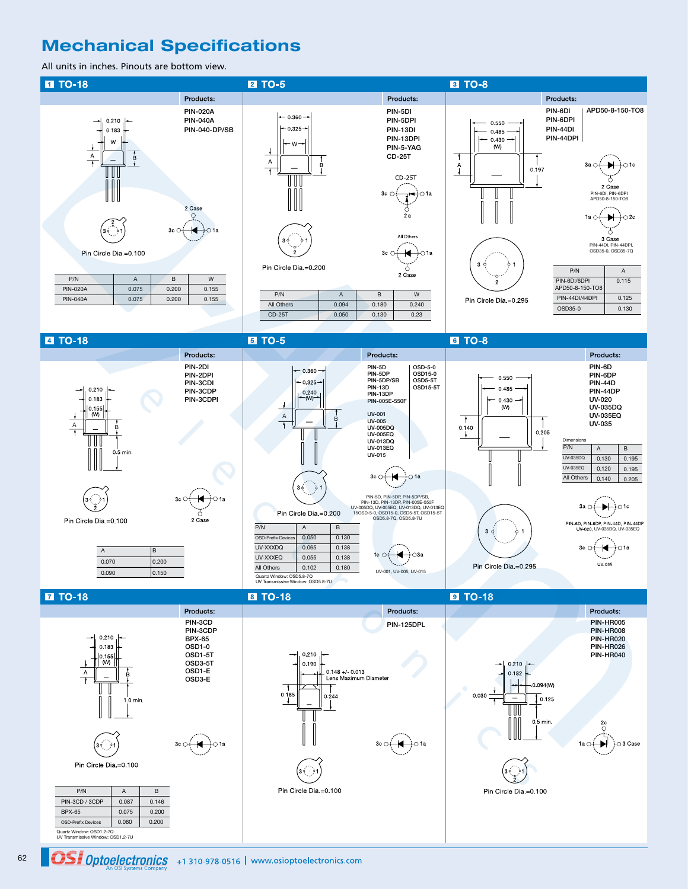## **Mechanical Specifications**

All units in inches. Pinouts are bottom view.



Quartz Window: OSD1.2-7Q UV Transmissive Window: OSD1.2-7U